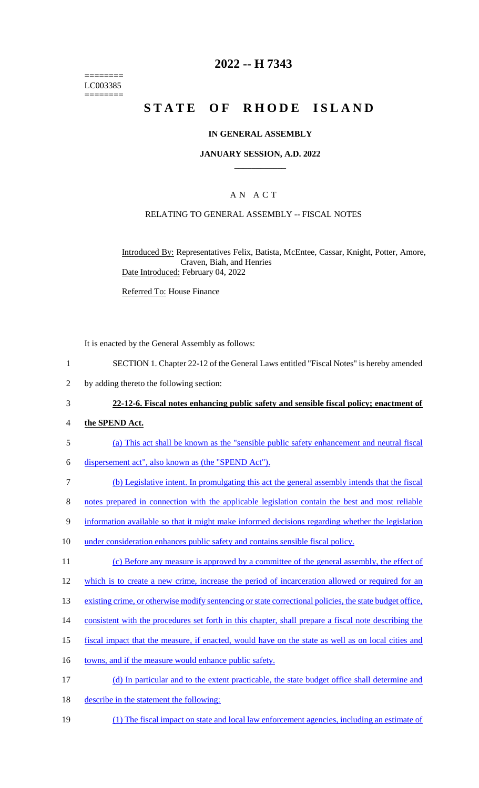======== LC003385 ========

## **2022 -- H 7343**

# **STATE OF RHODE ISLAND**

### **IN GENERAL ASSEMBLY**

#### **JANUARY SESSION, A.D. 2022 \_\_\_\_\_\_\_\_\_\_\_\_**

### A N A C T

#### RELATING TO GENERAL ASSEMBLY -- FISCAL NOTES

Introduced By: Representatives Felix, Batista, McEntee, Cassar, Knight, Potter, Amore, Craven, Biah, and Henries Date Introduced: February 04, 2022

Referred To: House Finance

It is enacted by the General Assembly as follows:

- 1 SECTION 1. Chapter 22-12 of the General Laws entitled "Fiscal Notes" is hereby amended
- 2 by adding thereto the following section:

## 3 **22-12-6. Fiscal notes enhancing public safety and sensible fiscal policy; enactment of**

- 4 **the SPEND Act.**
- 5 (a) This act shall be known as the "sensible public safety enhancement and neutral fiscal
- 6 dispersement act", also known as (the "SPEND Act").
- 7 (b) Legislative intent. In promulgating this act the general assembly intends that the fiscal
- 8 notes prepared in connection with the applicable legislation contain the best and most reliable
- 9 information available so that it might make informed decisions regarding whether the legislation
- 10 under consideration enhances public safety and contains sensible fiscal policy.
- 11 (c) Before any measure is approved by a committee of the general assembly, the effect of
- 12 which is to create a new crime, increase the period of incarceration allowed or required for an
- 13 existing crime, or otherwise modify sentencing or state correctional policies, the state budget office,
- 14 consistent with the procedures set forth in this chapter, shall prepare a fiscal note describing the
- 15 fiscal impact that the measure, if enacted, would have on the state as well as on local cities and
- 16 towns, and if the measure would enhance public safety.
- 17 (d) In particular and to the extent practicable, the state budget office shall determine and
- 18 describe in the statement the following:
- 19 (1) The fiscal impact on state and local law enforcement agencies, including an estimate of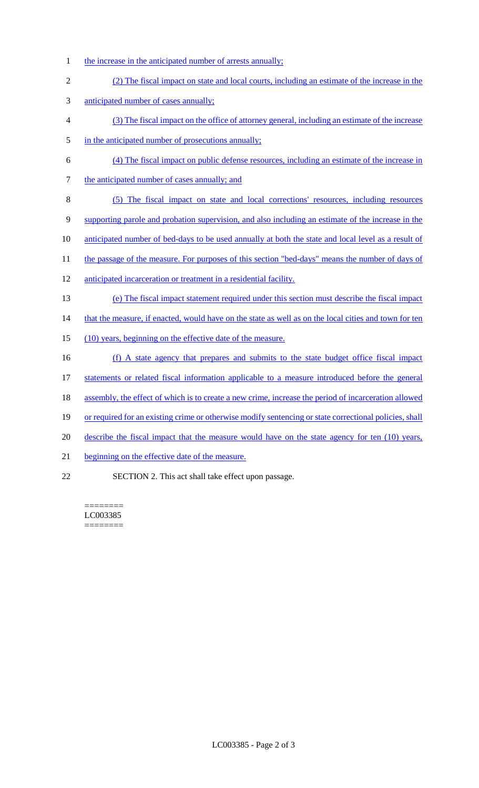- 1 the increase in the anticipated number of arrests annually;
- 2 (2) The fiscal impact on state and local courts, including an estimate of the increase in the
- 3 anticipated number of cases annually;
- 4 (3) The fiscal impact on the office of attorney general, including an estimate of the increase
- 5 in the anticipated number of prosecutions annually;
- 6 (4) The fiscal impact on public defense resources, including an estimate of the increase in
- 7 the anticipated number of cases annually; and
- 8 (5) The fiscal impact on state and local corrections' resources, including resources
- 9 supporting parole and probation supervision, and also including an estimate of the increase in the
- 10 anticipated number of bed-days to be used annually at both the state and local level as a result of
- 11 the passage of the measure. For purposes of this section "bed-days" means the number of days of
- 12 anticipated incarceration or treatment in a residential facility.
- 13 (e) The fiscal impact statement required under this section must describe the fiscal impact

14 that the measure, if enacted, would have on the state as well as on the local cities and town for ten

- 15 (10) years, beginning on the effective date of the measure.
- 16 (f) A state agency that prepares and submits to the state budget office fiscal impact 17 statements or related fiscal information applicable to a measure introduced before the general 18 assembly, the effect of which is to create a new crime, increase the period of incarceration allowed
- 19 or required for an existing crime or otherwise modify sentencing or state correctional policies, shall
- 20 describe the fiscal impact that the measure would have on the state agency for ten (10) years,
- 21 beginning on the effective date of the measure.
- 22 SECTION 2. This act shall take effect upon passage.

======== LC003385 ========